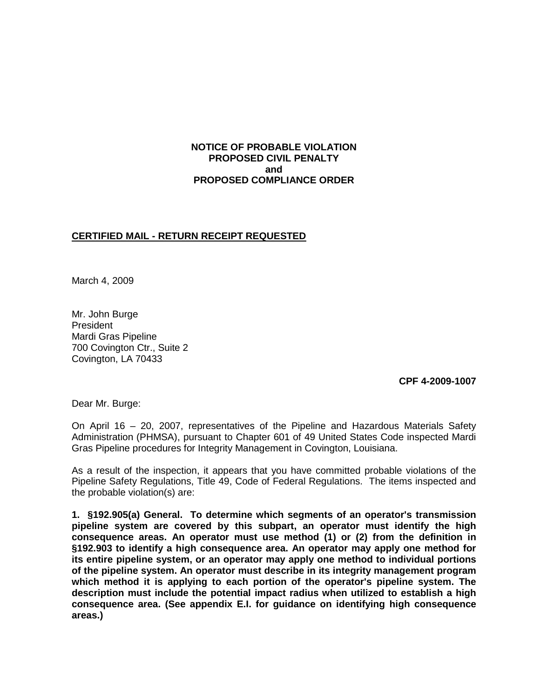### **NOTICE OF PROBABLE VIOLATION PROPOSED CIVIL PENALTY and PROPOSED COMPLIANCE ORDER**

# **CERTIFIED MAIL - RETURN RECEIPT REQUESTED**

March 4, 2009

Mr. John Burge President Mardi Gras Pipeline 700 Covington Ctr., Suite 2 Covington, LA 70433

**CPF 4-2009-1007**

Dear Mr. Burge:

On April 16 – 20, 2007, representatives of the Pipeline and Hazardous Materials Safety Administration (PHMSA), pursuant to Chapter 601 of 49 United States Code inspected Mardi Gras Pipeline procedures for Integrity Management in Covington, Louisiana.

As a result of the inspection, it appears that you have committed probable violations of the Pipeline Safety Regulations, Title 49, Code of Federal Regulations. The items inspected and the probable violation(s) are:

**1. §192.905(a) General. To determine which segments of an operator's transmission pipeline system are covered by this subpart, an operator must identify the high consequence areas. An operator must use method (1) or (2) from the definition in §192.903 to identify a high consequence area. An operator may apply one method for its entire pipeline system, or an operator may apply one method to individual portions of the pipeline system. An operator must describe in its integrity management program which method it is applying to each portion of the operator's pipeline system. The description must include the potential impact radius when utilized to establish a high consequence area. (See appendix E.I. for guidance on identifying high consequence areas.)**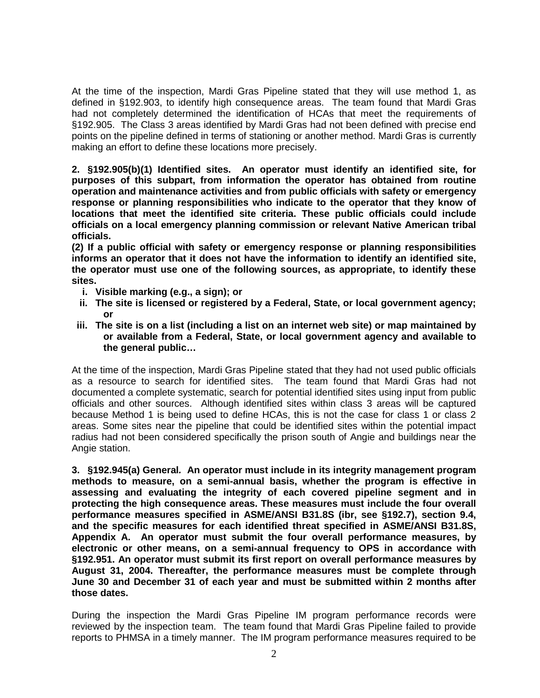At the time of the inspection, Mardi Gras Pipeline stated that they will use method 1, as defined in §192.903, to identify high consequence areas. The team found that Mardi Gras had not completely determined the identification of HCAs that meet the requirements of §192.905. The Class 3 areas identified by Mardi Gras had not been defined with precise end points on the pipeline defined in terms of stationing or another method. Mardi Gras is currently making an effort to define these locations more precisely.

**2. §192.905(b)(1) Identified sites. An operator must identify an identified site, for purposes of this subpart, from information the operator has obtained from routine operation and maintenance activities and from public officials with safety or emergency response or planning responsibilities who indicate to the operator that they know of locations that meet the identified site criteria. These public officials could include officials on a local emergency planning commission or relevant Native American tribal officials.** 

**(2) If a public official with safety or emergency response or planning responsibilities informs an operator that it does not have the information to identify an identified site, the operator must use one of the following sources, as appropriate, to identify these sites.** 

- **i. Visible marking (e.g., a sign); or**
- **ii. The site is licensed or registered by a Federal, State, or local government agency; or**
- **iii. The site is on a list (including a list on an internet web site) or map maintained by or available from a Federal, State, or local government agency and available to the general public…**

At the time of the inspection, Mardi Gras Pipeline stated that they had not used public officials as a resource to search for identified sites. The team found that Mardi Gras had not documented a complete systematic, search for potential identified sites using input from public officials and other sources. Although identified sites within class 3 areas will be captured because Method 1 is being used to define HCAs, this is not the case for class 1 or class 2 areas. Some sites near the pipeline that could be identified sites within the potential impact radius had not been considered specifically the prison south of Angie and buildings near the Angie station.

**3. §192.945(a) General***.* **An operator must include in its integrity management program methods to measure, on a semi-annual basis, whether the program is effective in assessing and evaluating the integrity of each covered pipeline segment and in protecting the high consequence areas. These measures must include the four overall performance measures specified in ASME/ANSI B31.8S (ibr, see §192.7), section 9.4, and the specific measures for each identified threat specified in ASME/ANSI B31.8S, Appendix A. An operator must submit the four overall performance measures, by electronic or other means, on a semi-annual frequency to OPS in accordance with §192.951. An operator must submit its first report on overall performance measures by August 31, 2004. Thereafter, the performance measures must be complete through June 30 and December 31 of each year and must be submitted within 2 months after those dates.**

During the inspection the Mardi Gras Pipeline IM program performance records were reviewed by the inspection team. The team found that Mardi Gras Pipeline failed to provide reports to PHMSA in a timely manner. The IM program performance measures required to be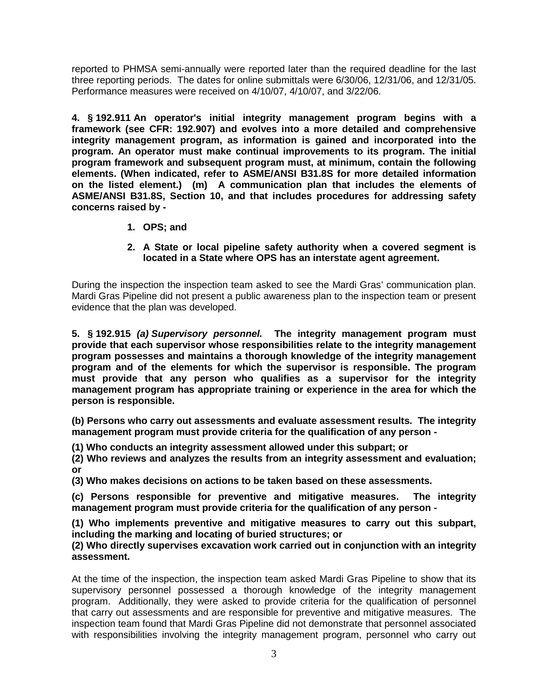reported to PHMSA semi-annually were reported later than the required deadline for the last three reporting periods. The dates for online submittals were 6/30/06, 12/31/06, and 12/31/05. Performance measures were received on 4/10/07, 4/10/07, and 3/22/06.

**4. § 192.911 An operator's initial integrity management program begins with a framework (see CFR: [192.907\)](http://primis.phmsa.dot.gov/gasimp/GasIMP_RuleSections_2005_07_01.DOC#sec7) and evolves into a more detailed and comprehensive integrity management program, as information is gained and incorporated into the program. An operator must make continual improvements to its program. The initial program framework and subsequent program must, at minimum, contain the following elements. (When indicated, refer to ASME/ANSI B31.8S for more detailed information on the listed element.) (m) A communication plan that includes the elements of ASME/ANSI B31.8S, Section 10, and that includes procedures for addressing safety concerns raised by -**

**1. OPS; and**

### **2. A State or local pipeline safety authority when a covered segment is located in a State where OPS has an interstate agent agreement.**

During the inspection the inspection team asked to see the Mardi Gras' communication plan. Mardi Gras Pipeline did not present a public awareness plan to the inspection team or present evidence that the plan was developed.

**5. § 192.915** *(a) Supervisory personnel.* **The integrity management program must provide that each supervisor whose responsibilities relate to the integrity management program possesses and maintains a thorough knowledge of the integrity management program and of the elements for which the supervisor is responsible. The program must provide that any person who qualifies as a supervisor for the integrity management program has appropriate training or experience in the area for which the person is responsible.**

**(b) Persons who carry out assessments and evaluate assessment results. The integrity management program must provide criteria for the qualification of any person -**

**(1) Who conducts an integrity assessment allowed under this subpart; or** 

**(2) Who reviews and analyzes the results from an integrity assessment and evaluation; or** 

**(3) Who makes decisions on actions to be taken based on these assessments.**

**(c) Persons responsible for preventive and mitigative measures. The integrity management program must provide criteria for the qualification of any person -**

**(1) Who implements preventive and mitigative measures to carry out this subpart, including the marking and locating of buried structures; or** 

#### **(2) Who directly supervises excavation work carried out in conjunction with an integrity assessment.**

At the time of the inspection, the inspection team asked Mardi Gras Pipeline to show that its supervisory personnel possessed a thorough knowledge of the integrity management program. Additionally, they were asked to provide criteria for the qualification of personnel that carry out assessments and are responsible for preventive and mitigative measures. The inspection team found that Mardi Gras Pipeline did not demonstrate that personnel associated with responsibilities involving the integrity management program, personnel who carry out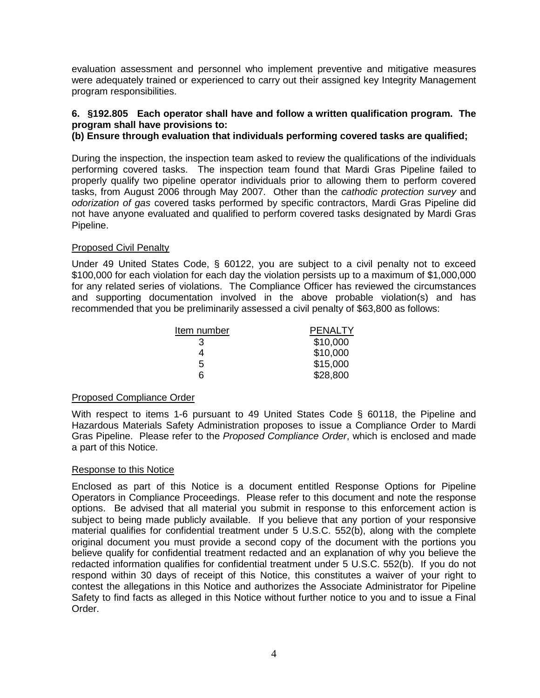evaluation assessment and personnel who implement preventive and mitigative measures were adequately trained or experienced to carry out their assigned key Integrity Management program responsibilities.

# **6. §192.805 Each operator shall have and follow a written qualification program. The program shall have provisions to:**

# **(b) Ensure through evaluation that individuals performing covered tasks are qualified;**

During the inspection, the inspection team asked to review the qualifications of the individuals performing covered tasks. The inspection team found that Mardi Gras Pipeline failed to properly qualify two pipeline operator individuals prior to allowing them to perform covered tasks, from August 2006 through May 2007. Other than the *cathodic protection survey* and *odorization of gas* covered tasks performed by specific contractors, Mardi Gras Pipeline did not have anyone evaluated and qualified to perform covered tasks designated by Mardi Gras Pipeline.

#### Proposed Civil Penalty

Under 49 United States Code, § 60122, you are subject to a civil penalty not to exceed \$100,000 for each violation for each day the violation persists up to a maximum of \$1,000,000 for any related series of violations. The Compliance Officer has reviewed the circumstances and supporting documentation involved in the above probable violation(s) and has recommended that you be preliminarily assessed a civil penalty of \$63,800 as follows:

| Item number | <b>PENALTY</b> |
|-------------|----------------|
| 3           | \$10,000       |
|             | \$10,000       |
| 5           | \$15,000       |
| ิค          | \$28,800       |

#### Proposed Compliance Order

With respect to items 1-6 pursuant to 49 United States Code § 60118, the Pipeline and Hazardous Materials Safety Administration proposes to issue a Compliance Order to Mardi Gras Pipeline. Please refer to the *Proposed Compliance Order*, which is enclosed and made a part of this Notice.

#### Response to this Notice

Enclosed as part of this Notice is a document entitled Response Options for Pipeline Operators in Compliance Proceedings. Please refer to this document and note the response options. Be advised that all material you submit in response to this enforcement action is subject to being made publicly available. If you believe that any portion of your responsive material qualifies for confidential treatment under 5 U.S.C. 552(b), along with the complete original document you must provide a second copy of the document with the portions you believe qualify for confidential treatment redacted and an explanation of why you believe the redacted information qualifies for confidential treatment under 5 U.S.C. 552(b). If you do not respond within 30 days of receipt of this Notice, this constitutes a waiver of your right to contest the allegations in this Notice and authorizes the Associate Administrator for Pipeline Safety to find facts as alleged in this Notice without further notice to you and to issue a Final Order.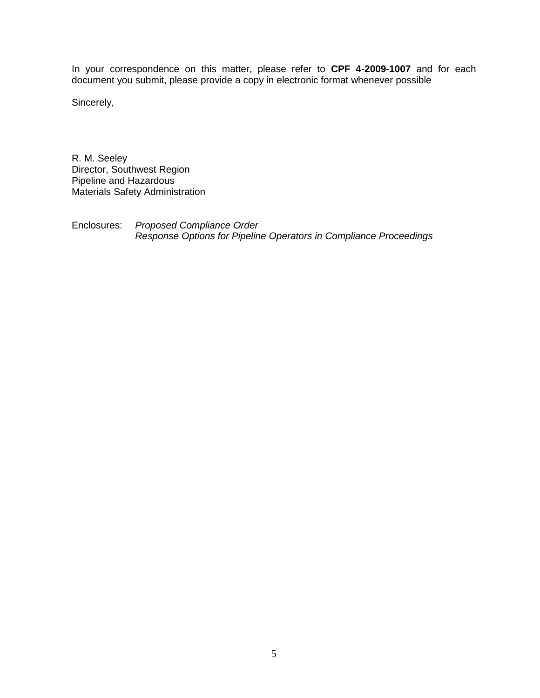In your correspondence on this matter, please refer to **CPF 4-2009-1007** and for each document you submit, please provide a copy in electronic format whenever possible

Sincerely,

R. M. Seeley Director, Southwest Region Pipeline and Hazardous Materials Safety Administration

Enclosures: *Proposed Compliance Order Response Options for Pipeline Operators in Compliance Proceedings*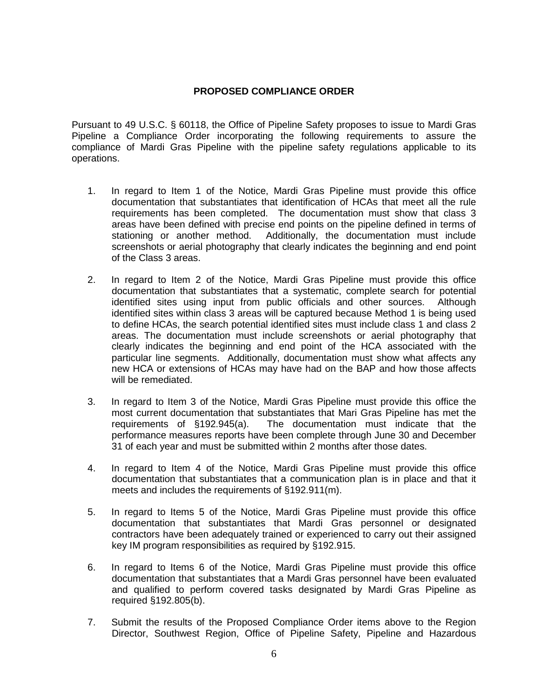## **PROPOSED COMPLIANCE ORDER**

Pursuant to 49 U.S.C. § 60118, the Office of Pipeline Safety proposes to issue to Mardi Gras Pipeline a Compliance Order incorporating the following requirements to assure the compliance of Mardi Gras Pipeline with the pipeline safety regulations applicable to its operations.

- 1. In regard to Item 1 of the Notice, Mardi Gras Pipeline must provide this office documentation that substantiates that identification of HCAs that meet all the rule requirements has been completed. The documentation must show that class 3 areas have been defined with precise end points on the pipeline defined in terms of stationing or another method. Additionally, the documentation must include screenshots or aerial photography that clearly indicates the beginning and end point of the Class 3 areas.
- 2. In regard to Item 2 of the Notice, Mardi Gras Pipeline must provide this office documentation that substantiates that a systematic, complete search for potential identified sites using input from public officials and other sources. Although identified sites within class 3 areas will be captured because Method 1 is being used to define HCAs, the search potential identified sites must include class 1 and class 2 areas. The documentation must include screenshots or aerial photography that clearly indicates the beginning and end point of the HCA associated with the particular line segments. Additionally, documentation must show what affects any new HCA or extensions of HCAs may have had on the BAP and how those affects will be remediated.
- 3. In regard to Item 3 of the Notice, Mardi Gras Pipeline must provide this office the most current documentation that substantiates that Mari Gras Pipeline has met the requirements of §192.945(a). The documentation must indicate that the performance measures reports have been complete through June 30 and December 31 of each year and must be submitted within 2 months after those dates.
- 4. In regard to Item 4 of the Notice, Mardi Gras Pipeline must provide this office documentation that substantiates that a communication plan is in place and that it meets and includes the requirements of §192.911(m).
- 5. In regard to Items 5 of the Notice, Mardi Gras Pipeline must provide this office documentation that substantiates that Mardi Gras personnel or designated contractors have been adequately trained or experienced to carry out their assigned key IM program responsibilities as required by §192.915.
- 6. In regard to Items 6 of the Notice, Mardi Gras Pipeline must provide this office documentation that substantiates that a Mardi Gras personnel have been evaluated and qualified to perform covered tasks designated by Mardi Gras Pipeline as required §192.805(b).
- 7. Submit the results of the Proposed Compliance Order items above to the Region Director, Southwest Region, Office of Pipeline Safety, Pipeline and Hazardous